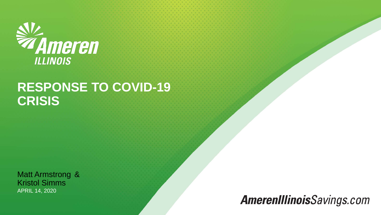

### **RESPONSE TO COVID-19 CRISIS**

Matt Armstrong & Kristol Simms APRIL 14, 2020

### **AmerenIllinoisSavings.com**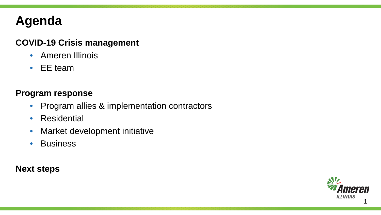## **Agenda**

#### **COVID-19 Crisis management**

- Ameren Illinois
- EE team

#### **Program response**

- Program allies & implementation contractors
- Residential
- Market development initiative
- Business

**Next steps**

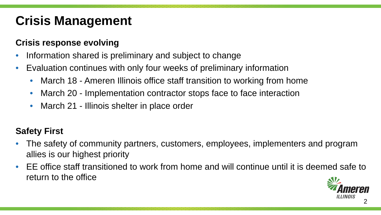## **Crisis Management**

### **Crisis response evolving**

- Information shared is preliminary and subject to change
- Evaluation continues with only four weeks of preliminary information
	- March 18 Ameren Illinois office staff transition to working from home
	- March 20 Implementation contractor stops face to face interaction
	- March 21 Illinois shelter in place order

### **Safety First**

- The safety of community partners, customers, employees, implementers and program allies is our highest priority
- EE office staff transitioned to work from home and will continue until it is deemed safe to return to the office

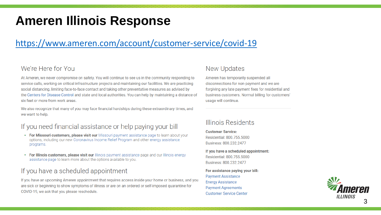### **Ameren Illinois Response**

#### <https://www.ameren.com/account/customer-service/covid-19>

#### We're Here for You

At Ameren, we never compromise on safety. You will continue to see us in the community responding to service calls, working on critical infrastructure projects and maintaining our facilities. We are practicing social distancing, limiting face-to-face contact and taking other preventative measures as advised by the Centers for Disease Control and state and local authorities. You can help by maintaining a distance of six feet or more from work areas.

We also recognize that many of you may face financial hardships during these extraordinary times, and we want to help.

#### If you need financial assistance or help paying your bill

- For Missouri customers, please visit our Missouri payment assistance page to learn about your options, including our new Coronavirus Income Relief Program and other energy assistance programs.
- For Illinois customers, please visit our Illinois payment assistance page and our Illinois energy assistance page to learn more about the options available to you.

#### If you have a scheduled appointment

If you have an upcoming Ameren appointment that requires access inside your home or business, and you are sick or beginning to show symptoms of illness or are on an ordered or self-imposed quarantine for COVID-19, we ask that you please reschedule.

#### New Updates

Ameren has temporarily suspended all disconnections for non-payment and we are forgiving any late payment fees for residential and business customers. Normal billing for customers' usage will continue.

#### Illinois Residents

**Customer Service:** Residential: 800.755.5000 Business: 800.232.2477

If you have a scheduled appointment: Residential: 800.755.5000 Business: 800.232.2477

For assistance paying your bill: **Payment Assistance Energy Assistance Payment Agreements Customer Service Center** 

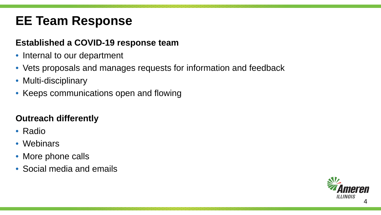## **EE Team Response**

#### **Established a COVID-19 response team**

- Internal to our department
- Vets proposals and manages requests for information and feedback
- Multi-disciplinary
- Keeps communications open and flowing

### **Outreach differently**

- Radio
- Webinars
- More phone calls
- Social media and emails

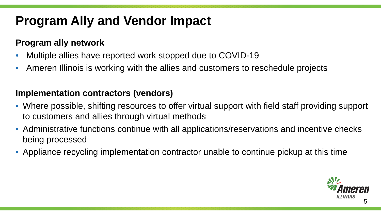## **Program Ally and Vendor Impact**

#### **Program ally network**

- Multiple allies have reported work stopped due to COVID-19
- Ameren Illinois is working with the allies and customers to reschedule projects

#### **Implementation contractors (vendors)**

- Where possible, shifting resources to offer virtual support with field staff providing support to customers and allies through virtual methods
- Administrative functions continue with all applications/reservations and incentive checks being processed
- Appliance recycling implementation contractor unable to continue pickup at this time

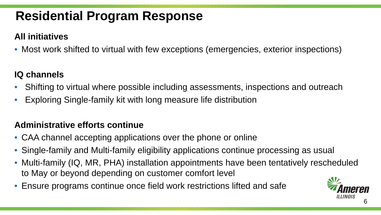### **All initiatives**

• Most work shifted to virtual with few exceptions (emergencies, exterior inspections)

### **IQ channels**

- Shifting to virtual where possible including assessments, inspections and outreach
- Exploring Single-family kit with long measure life distribution

### **Administrative efforts continue**

- CAA channel accepting applications over the phone or online
- Single-family and Multi-family eligibility applications continue processing as usual
- Multi-family (IQ, MR, PHA) installation appointments have been tentatively rescheduled to May or beyond depending on customer comfort level
- Ensure programs continue once field work restrictions lifted and safe

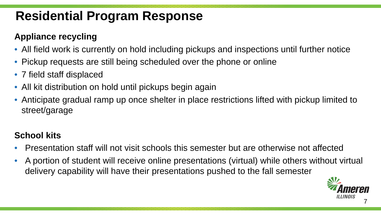### **Appliance recycling**

- All field work is currently on hold including pickups and inspections until further notice
- Pickup requests are still being scheduled over the phone or online
- 7 field staff displaced
- All kit distribution on hold until pickups begin again
- Anticipate gradual ramp up once shelter in place restrictions lifted with pickup limited to street/garage

### **School kits**

- Presentation staff will not visit schools this semester but are otherwise not affected
- A portion of student will receive online presentations (virtual) while others without virtual delivery capability will have their presentations pushed to the fall semester

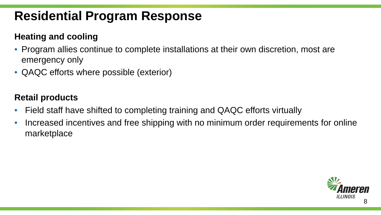#### **Heating and cooling**

- Program allies continue to complete installations at their own discretion, most are emergency only
- QAQC efforts where possible (exterior)

#### **Retail products**

- Field staff have shifted to completing training and QAQC efforts virtually
- Increased incentives and free shipping with no minimum order requirements for online marketplace

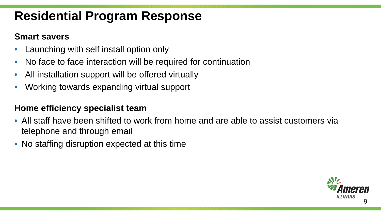#### **Smart savers**

- Launching with self install option only
- No face to face interaction will be required for continuation
- All installation support will be offered virtually
- Working towards expanding virtual support

#### **Home efficiency specialist team**

- All staff have been shifted to work from home and are able to assist customers via telephone and through email
- No staffing disruption expected at this time

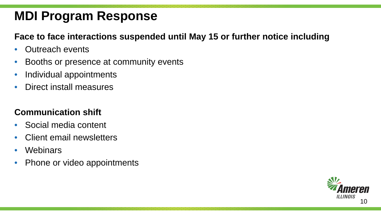#### **Face to face interactions suspended until May 15 or further notice including**

- Outreach events
- Booths or presence at community events
- Individual appointments
- Direct install measures

#### **Communication shift**

- Social media content
- Client email newsletters
- **Webinars**
- Phone or video appointments

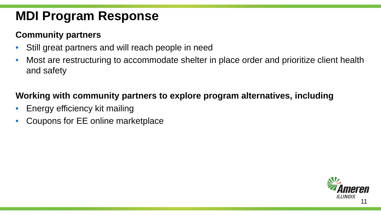#### **Community partners**

- Still great partners and will reach people in need
- Most are restructuring to accommodate shelter in place order and prioritize client health and safety

#### **Working with community partners to explore program alternatives, including**

- Energy efficiency kit mailing
- Coupons for EE online marketplace

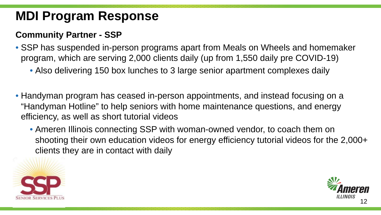#### **Community Partner - SSP**

- SSP has suspended in-person programs apart from Meals on Wheels and homemaker program, which are serving 2,000 clients daily (up from 1,550 daily pre COVID-19)
	- Also delivering 150 box lunches to 3 large senior apartment complexes daily
- Handyman program has ceased in-person appointments, and instead focusing on a "Handyman Hotline" to help seniors with home maintenance questions, and energy efficiency, as well as short tutorial videos
	- Ameren Illinois connecting SSP with woman-owned vendor, to coach them on shooting their own education videos for energy efficiency tutorial videos for the 2,000+ clients they are in contact with daily



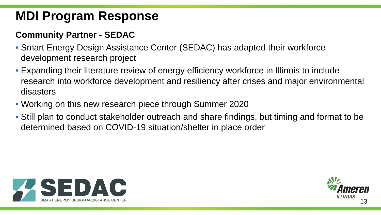#### **Community Partner - SEDAC**

- Smart Energy Design Assistance Center (SEDAC) has adapted their workforce development research project
- Expanding their literature review of energy efficiency workforce in Illinois to include research into workforce development and resiliency after crises and major environmental disasters
- Working on this new research piece through Summer 2020
- Still plan to conduct stakeholder outreach and share findings, but timing and format to be determined based on COVID-19 situation/shelter in place order



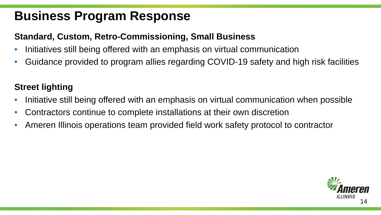### **Business Program Response**

#### **Standard, Custom, Retro-Commissioning, Small Business**

- Initiatives still being offered with an emphasis on virtual communication
- Guidance provided to program allies regarding COVID-19 safety and high risk facilities

#### **Street lighting**

- Initiative still being offered with an emphasis on virtual communication when possible
- Contractors continue to complete installations at their own discretion
- Ameren Illinois operations team provided field work safety protocol to contractor

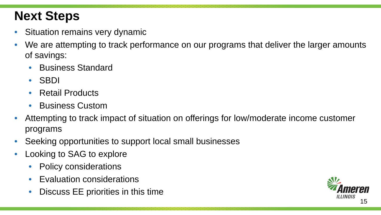## **Next Steps**

- Situation remains very dynamic
- We are attempting to track performance on our programs that deliver the larger amounts of savings:
	- Business Standard
	- SBDI
	- Retail Products
	- Business Custom
- Attempting to track impact of situation on offerings for low/moderate income customer programs
- Seeking opportunities to support local small businesses
- Looking to SAG to explore
	- Policy considerations
	- Evaluation considerations
	- Discuss EE priorities in this time